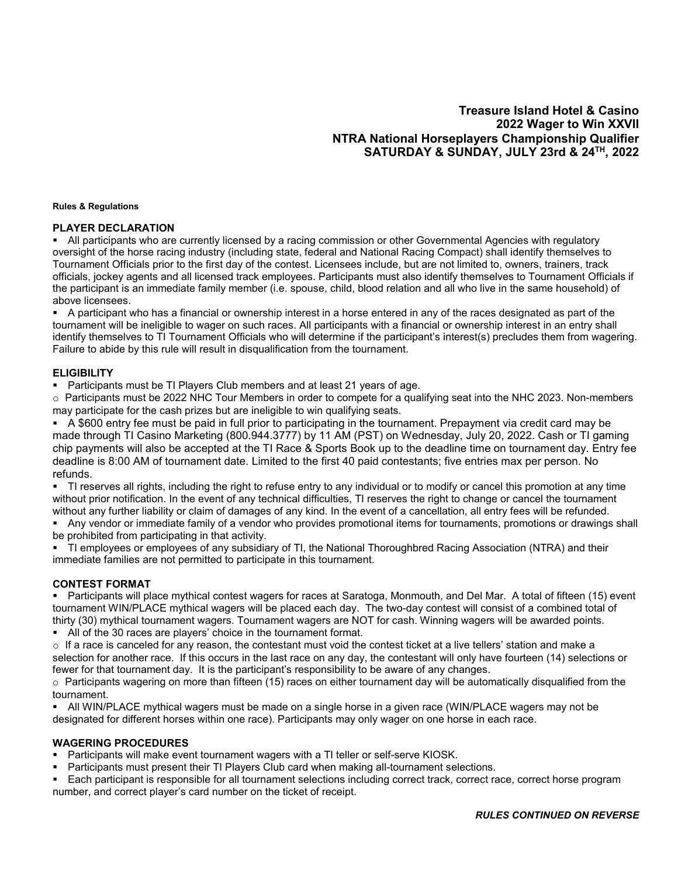# **Treasure Island Hotel & Casino 2022 Wager to Win XXVII NTRA National Horseplayers Championship Qualifier SATURDAY & SUNDAY, JULY 23rd & 24TH, 2022**

#### **Rules & Regulations**

#### **PLAYER DECLARATION**

 All participants who are currently licensed by a racing commission or other Governmental Agencies with regulatory oversight of the horse racing industry (including state, federal and National Racing Compact) shall identify themselves to Tournament Officials prior to the first day of the contest. Licensees include, but are not limited to, owners, trainers, track officials, jockey agents and all licensed track employees. Participants must also identify themselves to Tournament Officials if the participant is an immediate family member (i.e. spouse, child, blood relation and all who live in the same household) of above licensees.

 A participant who has a financial or ownership interest in a horse entered in any of the races designated as part of the tournament will be ineligible to wager on such races. All participants with a financial or ownership interest in an entry shall identify themselves to TI Tournament Officials who will determine if the participant's interest(s) precludes them from wagering. Failure to abide by this rule will result in disqualification from the tournament.

#### **ELIGIBILITY**

Participants must be TI Players Club members and at least 21 years of age.

 $\circ$  Participants must be 2022 NHC Tour Members in order to compete for a qualifying seat into the NHC 2023. Non-members may participate for the cash prizes but are ineligible to win qualifying seats.

 A \$600 entry fee must be paid in full prior to participating in the tournament. Prepayment via credit card may be made through TI Casino Marketing (800.944.3777) by 11 AM (PST) on Wednesday, July 20, 2022. Cash or TI gaming chip payments will also be accepted at the TI Race & Sports Book up to the deadline time on tournament day. Entry fee deadline is 8:00 AM of tournament date. Limited to the first 40 paid contestants; five entries max per person. No refunds.

 TI reserves all rights, including the right to refuse entry to any individual or to modify or cancel this promotion at any time without prior notification. In the event of any technical difficulties, TI reserves the right to change or cancel the tournament without any further liability or claim of damages of any kind. In the event of a cancellation, all entry fees will be refunded.

 Any vendor or immediate family of a vendor who provides promotional items for tournaments, promotions or drawings shall be prohibited from participating in that activity.

 TI employees or employees of any subsidiary of TI, the National Thoroughbred Racing Association (NTRA) and their immediate families are not permitted to participate in this tournament.

#### **CONTEST FORMAT**

 Participants will place mythical contest wagers for races at Saratoga, Monmouth, and Del Mar. A total of fifteen (15) event tournament WIN/PLACE mythical wagers will be placed each day. The two-day contest will consist of a combined total of thirty (30) mythical tournament wagers. Tournament wagers are NOT for cash. Winning wagers will be awarded points.

All of the 30 races are players' choice in the tournament format.

 $\circ$  If a race is canceled for any reason, the contestant must void the contest ticket at a live tellers' station and make a selection for another race. If this occurs in the last race on any day, the contestant will only have fourteen (14) selections or fewer for that tournament day. It is the participant's responsibility to be aware of any changes.

 $\circ$  Participants wagering on more than fifteen (15) races on either tournament day will be automatically disqualified from the tournament.

 All WIN/PLACE mythical wagers must be made on a single horse in a given race (WIN/PLACE wagers may not be designated for different horses within one race). Participants may only wager on one horse in each race.

#### **WAGERING PROCEDURES**

**Participants will make event tournament wagers with a TI teller or self-serve KIOSK.** 

- Participants must present their TI Players Club card when making all-tournament selections.
- Each participant is responsible for all tournament selections including correct track, correct race, correct horse program number, and correct player's card number on the ticket of receipt.